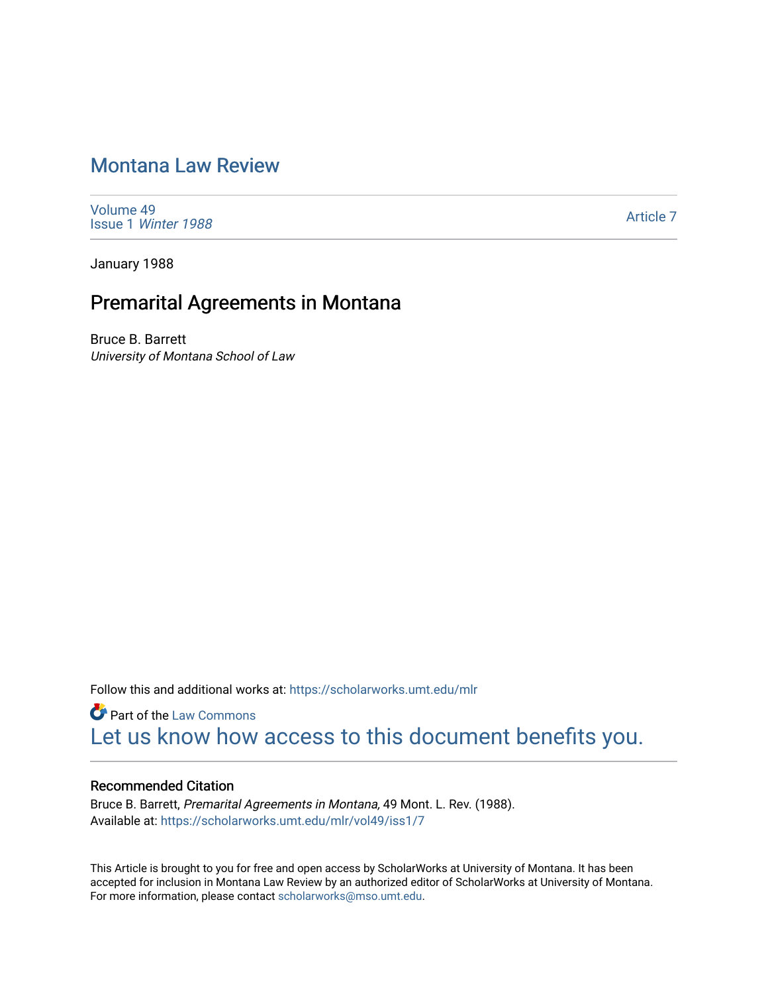# [Montana Law Review](https://scholarworks.umt.edu/mlr)

[Volume 49](https://scholarworks.umt.edu/mlr/vol49) Issue 1 [Winter 1988](https://scholarworks.umt.edu/mlr/vol49/iss1) 

[Article 7](https://scholarworks.umt.edu/mlr/vol49/iss1/7) 

January 1988

## Premarital Agreements in Montana

Bruce B. Barrett University of Montana School of Law

Follow this and additional works at: [https://scholarworks.umt.edu/mlr](https://scholarworks.umt.edu/mlr?utm_source=scholarworks.umt.edu%2Fmlr%2Fvol49%2Fiss1%2F7&utm_medium=PDF&utm_campaign=PDFCoverPages) 

**Part of the [Law Commons](http://network.bepress.com/hgg/discipline/578?utm_source=scholarworks.umt.edu%2Fmlr%2Fvol49%2Fiss1%2F7&utm_medium=PDF&utm_campaign=PDFCoverPages)** [Let us know how access to this document benefits you.](https://goo.gl/forms/s2rGfXOLzz71qgsB2) 

#### Recommended Citation

Bruce B. Barrett, Premarital Agreements in Montana, 49 Mont. L. Rev. (1988). Available at: [https://scholarworks.umt.edu/mlr/vol49/iss1/7](https://scholarworks.umt.edu/mlr/vol49/iss1/7?utm_source=scholarworks.umt.edu%2Fmlr%2Fvol49%2Fiss1%2F7&utm_medium=PDF&utm_campaign=PDFCoverPages) 

This Article is brought to you for free and open access by ScholarWorks at University of Montana. It has been accepted for inclusion in Montana Law Review by an authorized editor of ScholarWorks at University of Montana. For more information, please contact [scholarworks@mso.umt.edu.](mailto:scholarworks@mso.umt.edu)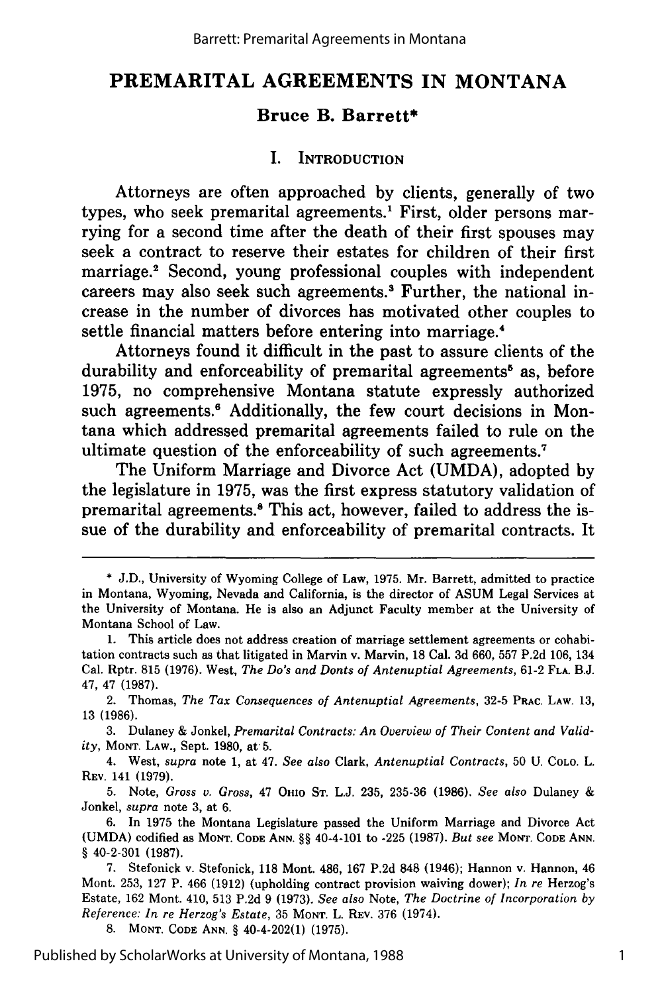## **PREMARITAL AGREEMENTS IN MONTANA**

### **Bruce B. Barrett\***

#### **I. INTRODUCTION**

Attorneys are often approached **by** clients, generally of two types, who seek premarital agreements.<sup>1</sup> First, older persons marrying for a second time after the death of their first spouses may seek a contract to reserve their estates for children of their first marriage.<sup>2</sup> Second, young professional couples with independent careers may also seek such agreements.' Further, the national increase in the number of divorces has motivated other couples to settle financial matters before entering into marriage.<sup>4</sup>

Attorneys found it difficult in the past to assure clients of the durability and enforceability of premarital agreements<sup>8</sup> as, before **1975,** no comprehensive Montana statute expressly authorized such agreements.<sup>6</sup> Additionally, the few court decisions in Montana which addressed premarital agreements failed to rule on the ultimate question of the enforceability of such agreements.7

The Uniform Marriage and Divorce Act **(UMDA),** adopted **by** the legislature in **1975,** was the first express statutory validation of premarital agreements.<sup>8</sup> This act, however, failed to address the issue of the durability and enforceability of premarital contracts. It

8. **MONT. CODE** ANN. **§** 40-4-202(1) (1975).

**<sup>\*</sup> J.D.,** University of Wyoming College of Law, **1975.** Mr. Barrett, admitted to practice in Montana, Wyoming, Nevada and California, is the director of ASUM Legal Services at the University of Montana. He is also an Adjunct Faculty member at the University of Montana School of Law.

**<sup>1.</sup>** This article does not address creation of marriage settlement agreements or cohabitation contracts such as that litigated in Marvin v. Marvin, **18** Cal. **3d 660, 557 P.2d 106,** 134 Cal. Rptr. **815 (1976).** West, *The Do's and Donts of Antenuptial Agreements,* **61-2 FLA. B.J.** 47, 47 **(1987).**

<sup>2.</sup> Thomas, *The Tax Consequences of Antenuptial Agreements,* 32-5 **PRAC. LAW.** 13, 13 (1986).

<sup>3.</sup> Dulaney & Jonkel, *Premarital Contracts: An Overview of Their Content and Validity,* **MONT. LAW.,** Sept. 1980, at 5.

<sup>4.</sup> West, *supra* note 1, at 47. *See also* Clark, *Antenuptial Contracts,* 50 U. CoLo. L. **REv.** 141 (1979).

<sup>5.</sup> Note, *Gross v. Gross,* 47 **OHIO** ST. L.J. 235, 235-36 (1986). *See also* Dulaney & Jonkel, *supra* note 3, at 6.

<sup>6.</sup> In 1975 the Montana Legislature passed the Uniform Marriage and Divorce Act (UMDA) codified as **MONT. CODE ANN.** §§ 40-4-101 to -225 (1987). *But see* **MONT. CODE ANN. §** 40-2-301 **(1987).**

<sup>7.</sup> Stefonick v. Stefonick, 118 Mont. 486, 167 P.2d 848 (1946); Hannon v. Hannon, 46 Mont. 253, 127 P. 466 (1912) (upholding contract provision waiving dower); *In re* Herzog's Estate, 162 Mont. 410, 513 P.2d 9 (1973). *See also* Note, *The Doctrine of Incorporation by Reference: In re Herzog's Estate,* 35 **MONT.** L. REv. 376 (1974).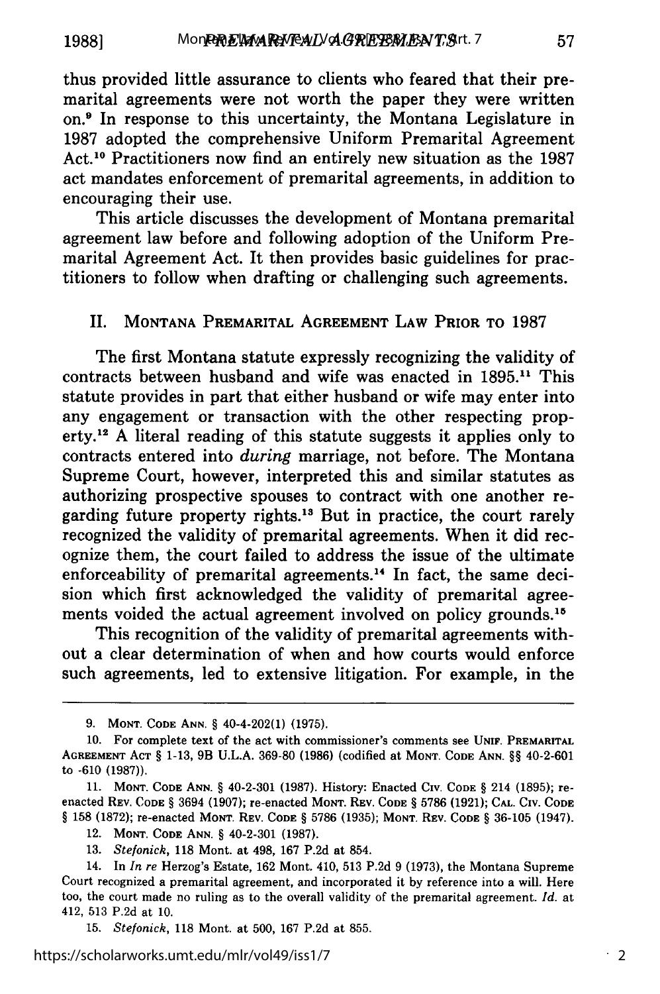thus provided little assurance to clients who feared that their premarital agreements were not worth the paper they were written on.9 In response to this uncertainty, the Montana Legislature in 1987 adopted the comprehensive Uniform Premarital Agreement Act. 10 Practitioners now find an entirely new situation as the 1987 act mandates enforcement of premarital agreements, in addition to encouraging their use.

This article discusses the development of Montana premarital agreement law before and following adoption of the Uniform Premarital Agreement Act. It then provides basic guidelines for practitioners to follow when drafting or challenging such agreements.

#### II. **MONTANA** PREMARITAL **AGREEMENT LAW** PRIOR TO 1987

The first Montana statute expressly recognizing the validity of contracts between husband and wife was enacted in 1895." This statute provides in part that either husband or wife may enter into any engagement or transaction with the other respecting property.<sup>12</sup> A literal reading of this statute suggests it applies only to contracts entered into *during* marriage, not before. The Montana Supreme Court, however, interpreted this and similar statutes as authorizing prospective spouses to contract with one another regarding future property rights.<sup>13</sup> But in practice, the court rarely recognized the validity of premarital agreements. When it did recognize them, the court failed to address the issue of the ultimate enforceability of premarital agreements.'4 In fact, the same decision which first acknowledged the validity of premarital agreements voided the actual agreement involved on policy grounds.<sup>15</sup>

This recognition of the validity of premarital agreements without a clear determination of when and how courts would enforce such agreements, led to extensive litigation. For example, in the

**<sup>9.</sup> MONT. CODE ANN.** § 40-4-202(1) **(1975).**

**<sup>10.</sup>** For complete text of the act with commissioner's comments see **UNIF. PREMARITAL AGREEMENT ACT** § **1-13,** 9B **U.L.A. 369-80 (1986)** (codified at **MONT. CODE ANN.** §§ 40-2-601 to -610 (1987)).

<sup>11.</sup> **MONT. CODE ANN.** § 40-2-301 (1987). History: Enacted Civ. **CODE** § 214 (1895); reenacted REV. **CODE** § 3694 (1907); re-enacted **MONT. REV. CODE** § 5786 (1921); **CAL.** CIV. CODE § 158 (1872); re-enacted **MONT.** REV. **CODE** § 5786 (1935); **MONT.** REV. **CODE** § 36-105 (1947).

<sup>12.</sup> **MONT. CODE ANN.** § 40-2-301 (1987).

<sup>13.</sup> *Stefonick,* 118 Mont. at 498, 167 P.2d at 854.

<sup>14.</sup> In *In re* Herzog's Estate, 162 Mont. 410, 513 P.2d 9 (1973), the Montana Supreme Court recognized a premarital agreement, and incorporated it by reference into a will. Here too, the court made no ruling as to the overall validity of the premarital agreement. *Id.* at 412, 513 P.2d at 10.

<sup>15.</sup> *Stefonick,* 118 Mont. at 500, 167 P.2d at 855.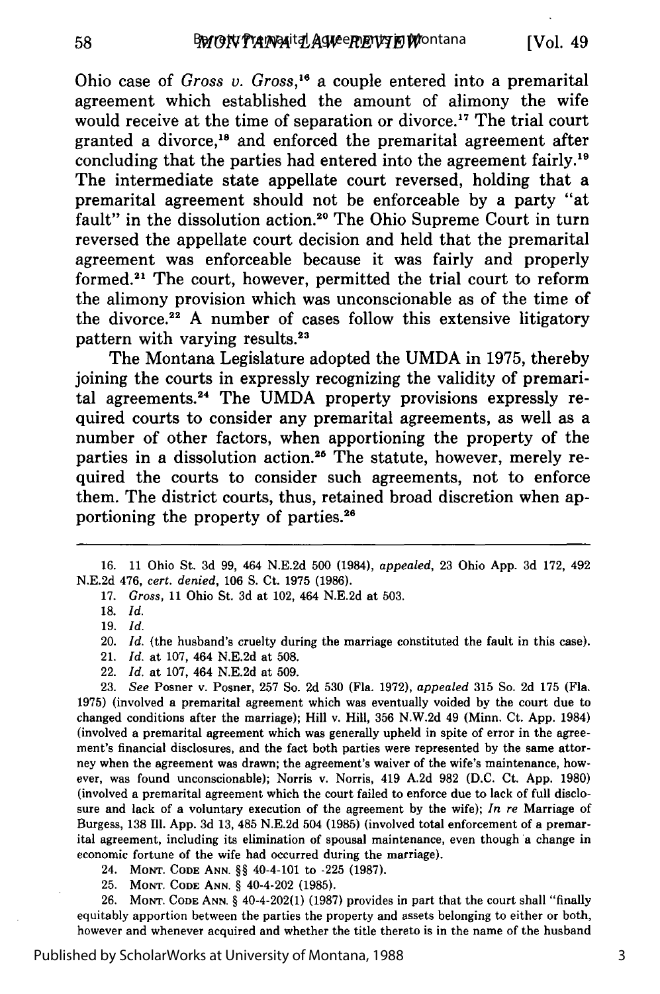Ohio case of *Gross v. Gross,'6* a couple entered into a premarital agreement which established the amount of alimony the wife would receive at the time of separation or divorce.<sup>17</sup> The trial court granted a divorce,<sup>18</sup> and enforced the premarital agreement after concluding that the parties had entered into the agreement fairly.'9 The intermediate state appellate court reversed, holding that a premarital agreement should not be enforceable **by** a party "at fault" in the dissolution action.<sup>20</sup> The Ohio Supreme Court in turn reversed the appellate court decision and held that the premarital agreement was enforceable because it was fairly and properly formed.<sup>21</sup> The court, however, permitted the trial court to reform the alimony provision which was unconscionable as of the time of the divorce.<sup>22</sup> A number of cases follow this extensive litigatory pattern with varying results.<sup>23</sup>

The Montana Legislature adopted the **UMDA** in **1975,** thereby joining the courts in expressly recognizing the validity of premarital agreements.24 The **UMDA** property provisions expressly required courts to consider any premarital agreements, as well as a number of other factors, when apportioning the property of the parties in a dissolution action.<sup>25</sup> The statute, however, merely required the courts to consider such agreements, not to enforce them. The district courts, thus, retained broad discretion when apportioning the property of parties.26

58

19. *Id.*

22. *Id.* at 107, 464 N.E.2d at 509.

23. *See* Posner v. Posner, 257 So. 2d 530 (Fla. 1972), *appealed* 315 So. 2d 175 (Fla. 1975) (involved a premarital agreement which was eventually voided by the court due to changed conditions after the marriage); Hill v. Hill, 356 N.W.2d 49 (Minn. Ct. App. 1984) (involved a premarital agreement which was generally upheld in spite of error in the agreement's financial disclosures, and the fact both parties were represented **by** the same attorney when the agreement was drawn; the agreement's waiver of the wife's maintenance, however, was found unconscionable); Norris v. Norris, 419 A.2d 982 (D.C. Ct. App. 1980) (involved a premarital agreement which the court failed to enforce due to lack of full disclosure and lack of a voluntary execution of the agreement **by** the wife); *In re* Marriage of Burgess, 138 Ill. App. 3d 13, 485 N.E.2d 504 (1985) (involved total enforcement of a premarital agreement, including its elimination of spousal maintenance, even though a change in economic fortune of the wife had occurred during the marriage).

- 24. **MONT. CODE ANN.** §§ 40-4-101 to -225 (1987).
- 25. **MONT. CODE ANN. §** 40-4-202 (1985).

26. **MONT. CODE ANN.** § 40-4-202(1) (1987) provides in part that the court shall "finally equitably apportion between the parties the property and assets belonging to either or both, however and whenever acquired and whether the title thereto is in the name of the husband

<sup>16. 11</sup> Ohio St. 3d 99, 464 N.E.2d 500 (1984), *appealed,* 23 Ohio App. 3d 172, 492 N.E.2d 476, *cert. denied,* 106 **S.** Ct. 1975 (1986).

<sup>17.</sup> *Gross,* 11 Ohio St. 3d at 102, 464 N.E.2d at 503.

**<sup>18.</sup>** *Id.*

<sup>20.</sup> *Id.* (the husband's cruelty during the marriage constituted the fault in this case).

<sup>21.</sup> *Id.* at 107, 464 N.E.2d at 508.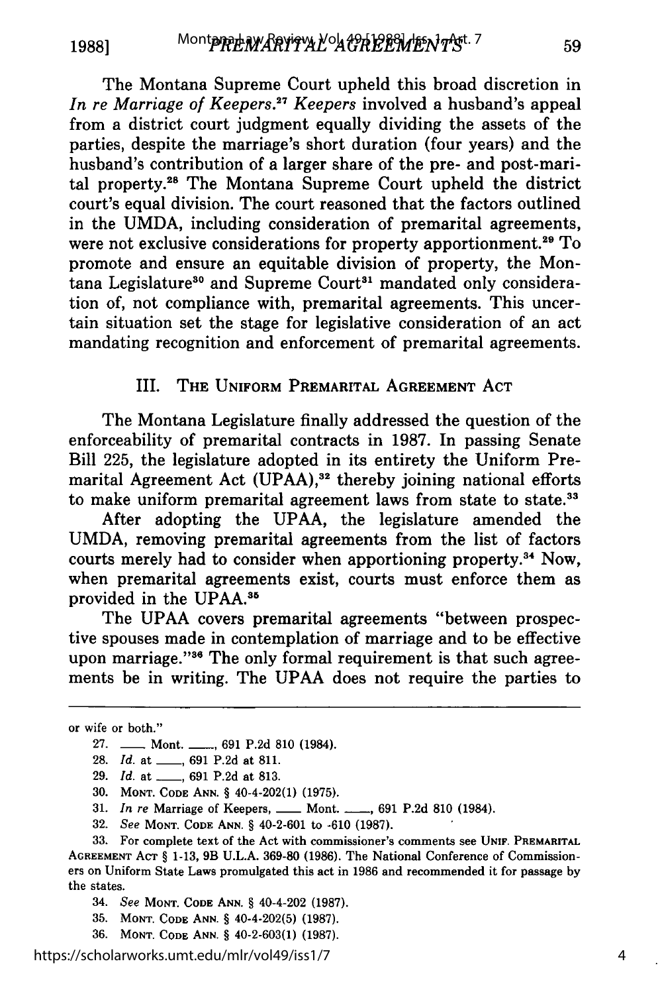The Montana Supreme Court upheld this broad discretion in *In re Marriage of Keepers.<sup>27</sup> Keepers* involved a husband's appeal from a district court judgment equally dividing the assets of the parties, despite the marriage's short duration (four years) and the husband's contribution of a larger share of the pre- and post-marital property.2" The Montana Supreme Court upheld the district court's equal division. The court reasoned that the factors outlined in the UMDA, including consideration of premarital agreements, were not exclusive considerations for property apportionment.<sup>29</sup> To promote and ensure an equitable division of property, the Montana Legislature<sup>30</sup> and Supreme Court<sup>31</sup> mandated only consideration of, not compliance with, premarital agreements. This uncertain situation set the stage for legislative consideration of an act mandating recognition and enforcement of premarital agreements.

#### III. THE **UNIFORM** PREMARITAL **AGREEMENT** ACT

The Montana Legislature finally addressed the question of the enforceability of premarital contracts in **1987.** In passing Senate Bill **225,** the legislature adopted in its entirety the Uniform Premarital Agreement Act **(UPAA),<sup>32</sup>**thereby joining national efforts to make uniform premarital agreement laws from state to state.<sup>33</sup>

After adopting the **UPAA,** the legislature amended the **UMDA,** removing premarital agreements from the list of factors courts merely had to consider when apportioning property.<sup>34</sup> Now, when premarital agreements exist, courts must enforce them as provided in the UPAA.<sup>35</sup>

The UPAA covers premarital agreements "between prospective spouses made in contemplation of marriage and to be effective upon marriage."<sup>36</sup> The only formal requirement is that such agreements be in writing. The UPAA does not require the parties to

https://scholarworks.umt.edu/mlr/vol49/iss1/7

59

or wife or both."

<sup>27.</sup> **--- Mont. ----, 691 P.2d 810 (1984).** 

**<sup>28.</sup>** *Id.* at **\_\_, 691 P.2d** at **811.**

**<sup>29.</sup>** *Id.* at **\_\_, 691 P.2d** at **813.**

**<sup>30.</sup> MONT. CODE ANN.** § 40-4-202(1) **(1975).**

**<sup>31.</sup>** *In re* Marriage of Keepers, **-** Mont. **-, 691 P.2d 810** (1984).

**<sup>32.</sup>** *See* **MONT. CODE ANN.** § 40-2-601 to **-610 (1987).**

**<sup>33.</sup>** For complete text of the Act with commissioner's comments see **UNIF. PREMARITAL AGREEMENT ACT** § **1-13,** 9B **U.L.A. 369-80 (1986).** The National Conference of Commissioners on Uniform State Laws promulgated this act in **1986** and recommended it for passage **by** the states.

<sup>34.</sup> *See* **MONT. CODE ANN.** § 40-4-202 **(1987).**

**<sup>35.</sup> MONT. CODE ANN.** § 40-4-202(5) **(1987).**

**<sup>36.</sup> MONT. CODE ANN.** § 40-2-603(1) **(1987).**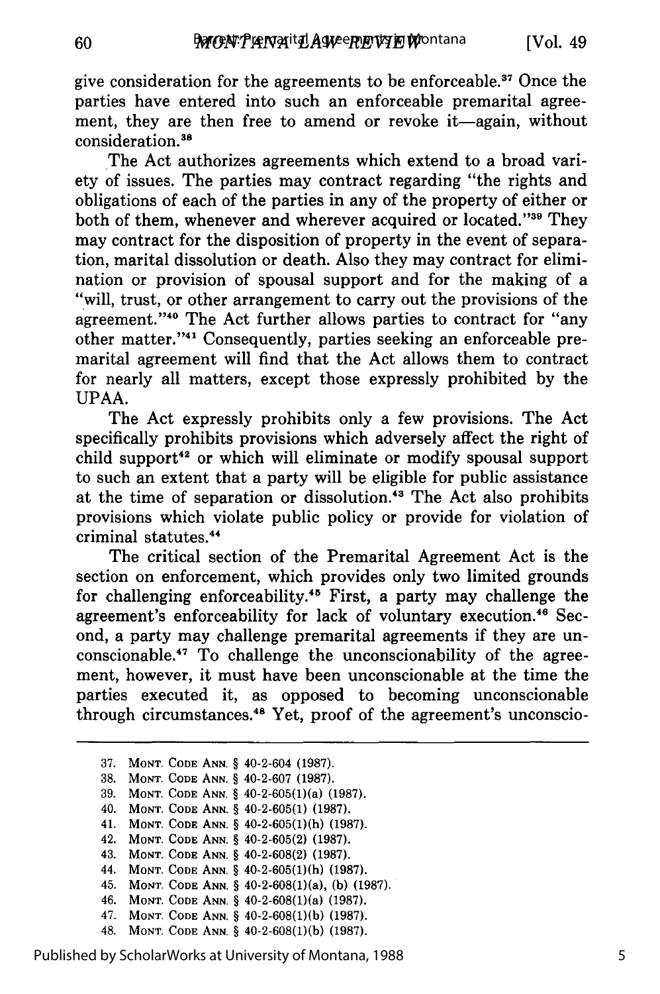give consideration for the agreements to be enforceable.<sup>37</sup> Once the parties have entered into such an enforceable premarital agreement, they are then free to amend or revoke it—again, without consideration.<sup>38</sup>

60

The Act authorizes agreements which extend to a broad variety of issues. The parties may contract regarding "the rights and obligations of each of the parties in any of the property of either or both of them, whenever and wherever acquired or located."<sup>39</sup> They may contract for the disposition of property in the event of separation, marital dissolution or death. Also they may contract for elimination or provision of spousal support and for the making of a "will, trust, or other arrangement to carry out the provisions of the agreement."<sup>40</sup> The Act further allows parties to contract for "any other matter."<sup>41</sup> Consequently, parties seeking an enforceable premarital agreement will find that the Act allows them to contract for nearly all matters, except those expressly prohibited by the UPAA.

The Act expressly prohibits only a few provisions. The Act specifically prohibits provisions which adversely affect the right of child support<sup>42</sup> or which will eliminate or modify spousal support to such an extent that a party will be eligible for public assistance at the time of separation or dissolution.'3 The Act also prohibits provisions which violate public policy or provide for violation of criminal statutes.<sup>44</sup>

The critical section of the Premarital Agreement Act is the section on enforcement, which provides only two limited grounds for challenging enforceability.<sup>45</sup> First, a party may challenge the agreement's enforceability for lack of voluntary execution.46 Second, a party may challenge premarital agreements if they are unconscionable. $17$  To challenge the unconscionability of the agreement, however, it must have been unconscionable at the time the parties executed it, as opposed to becoming unconscionable through circumstances. 48 Yet, proof of the agreement's unconscio-

**37. MONT. CODE ANN.** § 40-2-604 **(1987). 38. MONT. CODE ANN.** § 40-2-607 **(1987). 39. MONT. CODE ANN.** § 40-2-605(l)(a) **(1987).** 40. **MONT. CODE ANN.** § 40-2-605(1) **(1987). 41. MONT. CODE ANN.** § 40-2-605(1)(h) **(1987).** 42. **MONT. CODE ANN.** § 40-2-605(2) **(1987).** 43. **MONT. CODE ANN.** § 40-2-608(2) **(1987).** 44. **MONT. CODE ANN.** § 40-2-605(1)(h) **(1987).** 45. **MONT. CODE ANN.** § 40-2-608(1)(a), (b) (1987). 46. MONT. **CODE ANN.** § 40-2-608(1)(a) (1987). 47. **MONT. CODE ANN.** § 40-2-608(1)(b) (1987).

48. **MONT. CODE ANN.** § 40-2-608(1)(b) (1987).

Published by ScholarWorks at University of Montana, 1988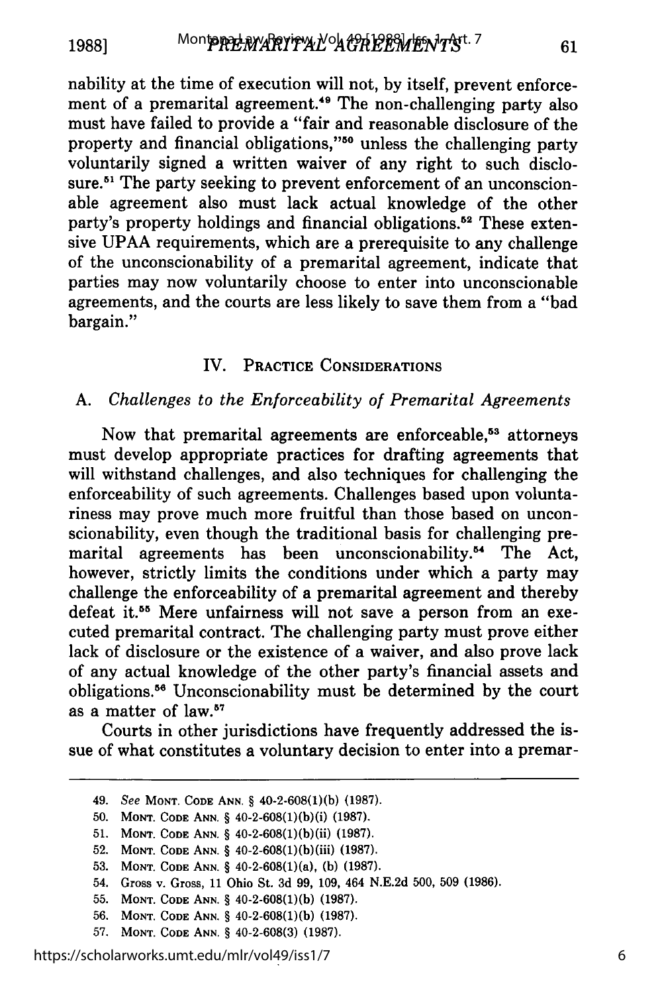**1988]**

61

nability at the time of execution will not, by itself, prevent enforcement of a premarital agreement.<sup>49</sup> The non-challenging party also must have failed to provide a "fair and reasonable disclosure of the property and financial obligations,"<sup>50</sup> unless the challenging party voluntarily signed a written waiver of any right to such disclosure.<sup>51</sup> The party seeking to prevent enforcement of an unconscionable agreement also must lack actual knowledge of the other party's property holdings and financial obligations.<sup>52</sup> These extensive UPAA requirements, which are a prerequisite to any challenge of the unconscionability of a premarital agreement, indicate that parties may now voluntarily choose to enter into unconscionable agreements, and the courts are less likely to save them from a "bad bargain."

#### IV. PRACTICE CONSIDERATIONS

#### *A. Challenges to the Enforceability of Premarital Agreements*

Now that premarital agreements are enforceable,<sup>53</sup> attorneys must develop appropriate practices for drafting agreements that will withstand challenges, and also techniques for challenging the enforceability of such agreements. Challenges based upon voluntariness may prove much more fruitful than those based on unconscionability, even though the traditional basis for challenging premarital agreements has been unconscionability.<sup>54</sup> The Act, however, strictly limits the conditions under which a party may challenge the enforceability of a premarital agreement and thereby defeat it.<sup>55</sup> Mere unfairness will not save a person from an executed premarital contract. The challenging party must prove either lack of disclosure or the existence of a waiver, and also prove lack of any actual knowledge of the other party's financial assets and obligations.56 Unconscionability must be determined by the court as a matter of law.<sup>57</sup>

Courts in other jurisdictions have frequently addressed the issue of what constitutes a voluntary decision to enter into a premar-

- 50. **MONT. CODE ANN.** § 40-2-608(l)(b)(i) (1987).
- **51. MONT. CODE ANN.** § 40-2-608(1)(b)(ii) (1987).
- 52. **MONT. CODE ANN.** § 40-2-608(1)(b)(iii) (1987).
- **53. MONT. CODE ANN.** § 40-2-608(1)(a), (b) (1987).
- 54. Gross v. Gross, 11 Ohio St. 3d 99, 109, 464 N.E.2d 500, 509 (1986).
- 55. **MONT. CODE ANN.** § 40-2-608(1)(b) (1987).
- 56. **MONT. CODE ANN.** § 40-2-608(1)(b) (1987).
- **57. MONT. CODE ANN.** § 40-2-608(3) (1987).

https://scholarworks.umt.edu/mlr/vol49/iss1/7

<sup>49.</sup> See **MONT. CODE ANN.** § 40-2-608(1)(b) (1987).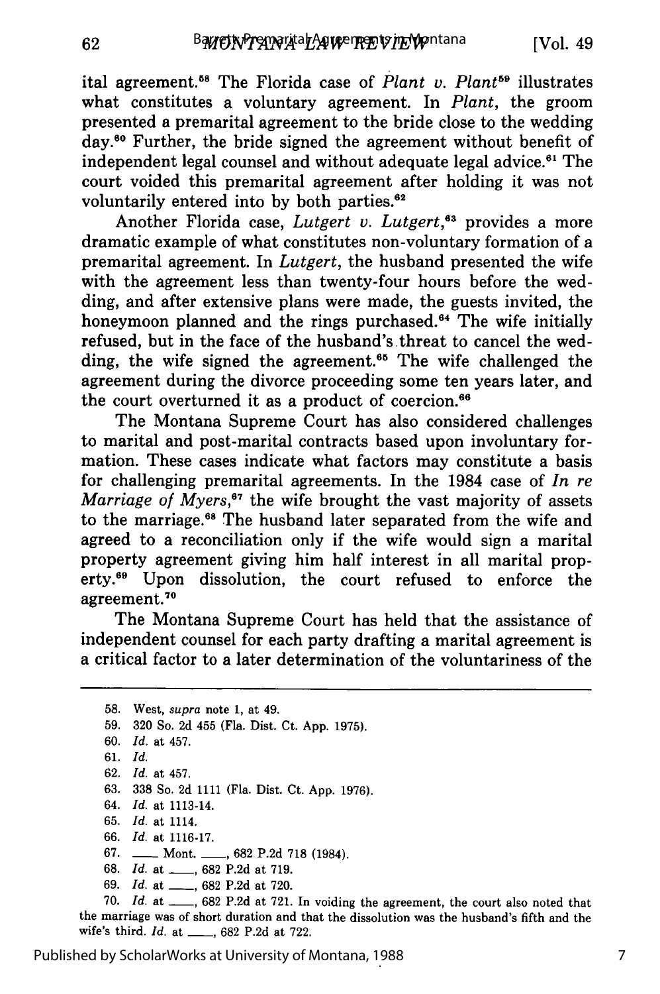ital agreement.58 The Florida case of *Plant v. Plant59* illustrates what constitutes a voluntary agreement. In *Plant,* the groom presented a premarital agreement to the bride close to the wedding day.60 Further, the bride signed the agreement without benefit of independent legal counsel and without adequate legal advice.<sup>61</sup> The court voided this premarital agreement after holding it was not voluntarily entered into by both parties.<sup>62</sup>

Another Florida case, *Lutgert v. Lutgert*,<sup>63</sup> provides a more dramatic example of what constitutes non-voluntary formation of a premarital agreement. In *Lutgert,* the husband presented the wife with the agreement less than twenty-four hours before the wedding, and after extensive plans were made, the guests invited, the honeymoon planned and the rings purchased.<sup>64</sup> The wife initially refused, but in the face of the husband's threat to cancel the wedding, the wife signed the agreement.<sup>65</sup> The wife challenged the agreement during the divorce proceeding some ten years later, and the court overturned it as a product of coercion.<sup>66</sup>

The Montana Supreme Court has also considered challenges to marital and post-marital contracts based upon involuntary formation. These cases indicate what factors may constitute a basis for challenging premarital agreements. In the 1984 case of *In re Marriage of Myers*,<sup>67</sup> the wife brought the vast majority of assets to the marriage.<sup>68</sup> The husband later separated from the wife and agreed to a reconciliation only if the wife would sign a marital property agreement giving him half interest in all marital property.<sup>69</sup> Upon dissolution, the court refused to enforce the agreement.<sup>70</sup>

The Montana Supreme Court has held that the assistance of independent counsel for each party drafting a marital agreement is a critical factor to a later determination of the voluntariness of the

58. West, supra note 1, at 49. 59. 320 So. 2d 455 (Fla. Dist. Ct. App. 1975). 60. *Id.* at 457. 61. *Id.* 62. *Id.* at 457. 63. 338 So. 2d 1111 (Fla. Dist. Ct. App. 1976). 64. *Id.* at 1113-14. 65. *Id.* at 1114. 66. *Id.* at 1116-17. 67. **-** Mont. **\_\_, 682 P.2d 718 (1984).** 68. *Id.* at \_\_\_\_, 682 P.2d at 719. 69. *Id.* at \_\_\_, 682 P.2d at 720.

70. *Id.* at \_\_\_, 682 P.2d at 721. In voiding the agreement, the court also noted that the marriage was of short duration and that the dissolution was the husband's fifth and the wife's third. *Id.* at **\_\_,** 682 P.2d at 722.

Published by ScholarWorks at University of Montana, 1988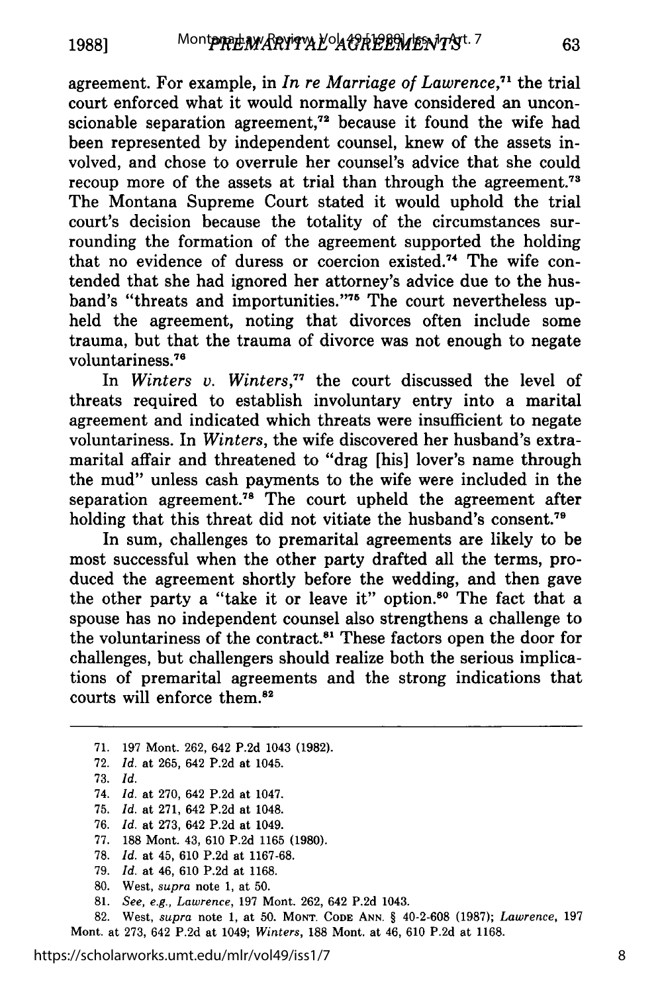**19881**

agreement. For example, in *In re Marriage of Lawrence*<sup>71</sup> the trial court enforced what it would normally have considered an unconscionable separation agreement,<sup> $72$ </sup> because it found the wife had been represented by independent counsel, knew of the assets involved, and chose to overrule her counsel's advice that she could recoup more of the assets at trial than through the agreement.<sup>73</sup> The Montana Supreme Court stated it would uphold the trial court's decision because the totality of the circumstances surrounding the formation of the agreement supported the holding that no evidence of duress or coercion existed.<sup>74</sup> The wife contended that she had ignored her attorney's advice due to the husband's "threats and importunities."<sup>75</sup> The court nevertheless upheld the agreement, noting that divorces often include some trauma, but that the trauma of divorce was not enough to negate voluntariness. <sup>76</sup>

In *Winters v. Winters*,<sup>77</sup> the court discussed the level of threats required to establish involuntary entry into a marital agreement and indicated which threats were insufficient to negate voluntariness. In *Winters,* the wife discovered her husband's extramarital affair and threatened to "drag [his] lover's name through the mud" unless cash payments to the wife were included in the separation agreement.<sup>78</sup> The court upheld the agreement after holding that this threat did not vitiate the husband's consent.<sup>79</sup>

In sum, challenges to premarital agreements are likely to be most successful when the other party drafted all the terms, produced the agreement shortly before the wedding, and then gave the other party a "take it or leave it" option.<sup>80</sup> The fact that a spouse has no independent counsel also strengthens a challenge to the voluntariness of the contract.<sup>81</sup> These factors open the door for challenges, but challengers should realize both the serious implications of premarital agreements and the strong indications that courts will enforce them.8

71. 197 Mont. 262, 642 P.2d 1043 (1982). 72. *Id.* at 265, 642 P.2d at 1045. 73. *Id.* 74. *Id.* at 270, 642 P.2d at 1047. 75. *Id.* at 271, 642 P.2d at 1048. 76. *Id.* at 273, 642 P.2d at 1049. 77. 188 Mont. 43, 610 P.2d 1165 (1980). 78. *Id.* at 45, 610 P.2d at 1167-68. 79. *Id.* at 46, 610 P.2d at 1168. 80. West, *supra* note 1, at 50. 81. *See, e.g., Lawrence,* 197 Mont. 262, 642 P.2d 1043.

82. West, *supra* note 1, at 50. **MONT. CODE ANN.** § 40-2-608 (1987); *Lawrence,* 197 Mont. at 273, 642 P.2d at 1049; *Winters,* 188 Mont. at 46, 610 P.2d at 1168.

https://scholarworks.umt.edu/mlr/vol49/iss1/7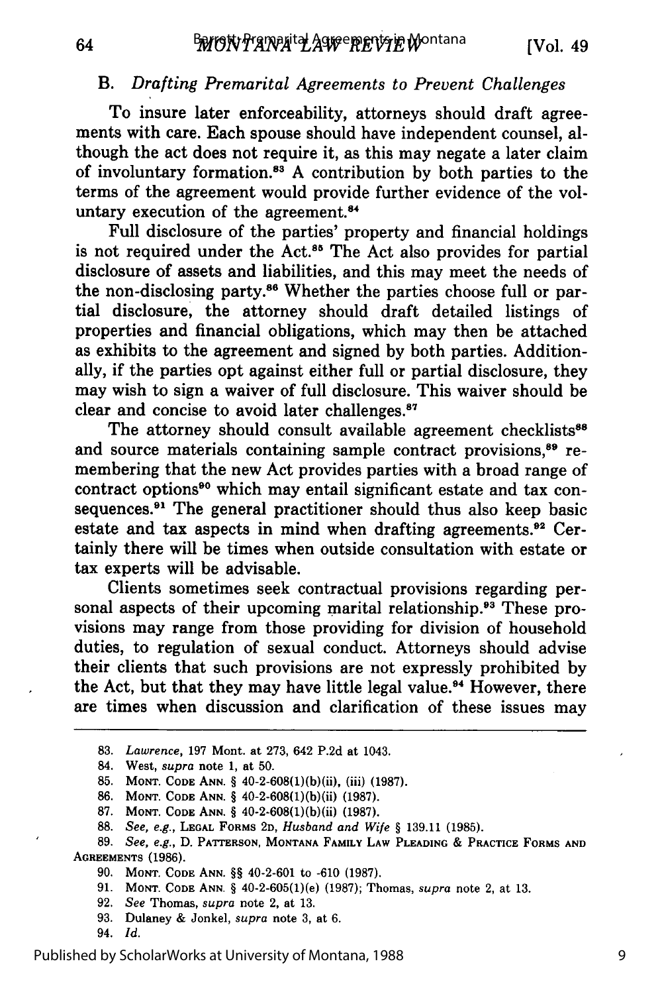## *B. Drafting Premarital Agreements to Prevent Challenges*

To insure later enforceability, attorneys should draft agreements with care. Each spouse should have independent counsel, although the act does not require it, as this may negate a later claim of involuntary formation.<sup>83</sup> A contribution by both parties to the terms of the agreement would provide further evidence of the voluntary execution of the agreement.<sup>84</sup>

Full disclosure of the parties' property and financial holdings is not required under the Act.<sup>85</sup> The Act also provides for partial disclosure of assets and liabilities, and this may meet the needs of the non-disclosing party.<sup>86</sup> Whether the parties choose full or partial disclosure, the attorney should draft detailed listings of properties and financial obligations, which may then be attached as exhibits to the agreement and signed by both parties. Additionally, if the parties opt against either full or partial disclosure, they may wish to sign a waiver of full disclosure. This waiver should be clear and concise to avoid later challenges."

The attorney should consult available agreement checklists<sup>88</sup> and source materials containing sample contract provisions,<sup>89</sup> remembering that the new Act provides parties with a broad range of contract options<sup>90</sup> which may entail significant estate and tax consequences.<sup>91</sup> The general practitioner should thus also keep basic estate and tax aspects in mind when drafting agreements.<sup>92</sup> Certainly there will be times when outside consultation with estate or tax experts will be advisable.

Clients sometimes seek contractual provisions regarding personal aspects of their upcoming marital relationship.<sup>93</sup> These provisions may range from those providing for division of household duties, to regulation of sexual conduct. Attorneys should advise their clients that such provisions are not expressly prohibited by the Act, but that they may have little legal value.<sup>94</sup> However, there are times when discussion and clarification of these issues may

- **87. MONT. CODE ANN.** § 40-2-608(1)(b)(ii) **(1987).**
- **88.** *See, e.g.,* **LEGAL FORMS 2D,** *Husband and Wife §* **139.11 (1985).**

- **91. MONT. CODE ANN.** § 40-2-605(1)(e) **(1987);** Thomas, *supra* note 2, at **13.**
- **92.** *See* Thomas, *supra* note 2, at 13.
- **93.** Dulaney & Jonkel, *supra* note 3, at 6.
- 94. *Id.*

64

<sup>83.</sup> *Lawrence,* 197 Mont. at 273, 642 P.2d at 1043.

<sup>84.</sup> West, *supra* note 1, at 50.

**<sup>85.</sup> MONT. CODE ANN.** § 40-2-608(l)(b)(ii), (iii) **(1987).**

**<sup>86.</sup> MONT. CODE ANN.** § 40-2-608(1)(b)(ii) **(1987).**

**<sup>89.</sup>** *See, e.g.,* D. PATTERSON, **MONTANA FAMILY LAW PLEADING** & **PRACTICE FORMS AND AGREEMENTS (1986).**

**<sup>90.</sup> MONT. CODE ANN.** §§ 40-2-601 to -610 **(1987).**